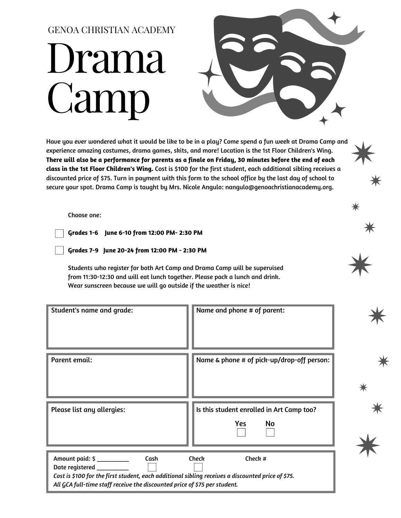## Drama Camp GENOA CHRISTIAN ACADEMY



Have you ever wondered what it would be like to be in a play? Come spend a fun week at Drama Camp and experience amazing costumes, drama games, skits, and more! Location is the 1st Floor Children's Wing. There will also be a performance for parents as a finale on Friday, 30 minutes before the end of each **class in the 1st Floor Children's Wing.** Cost is \$100 for the first student, each additional sibling receives a discounted price of \$75. Turn in payment with this form to the school office by the last day of school to secure your spot. Drama Camp is taught by Mrs. Nicole Angulo: nangulo@genoachristianacademy.org.

Choose one:

**Grades 1-6 June 6-10 from 12:00 PM- 2:30 PM**

**Grades 7-9 June 20-24 from 12:00 PM - 2:30 PM**

Students who register for both Art Camp and Drama Camp will be supervised from 11:30-12:30 and will eat lunch together. Please pack a lunch and drink. Wear sunscreen because we will go outside if the weather is nice!

| <b>Student's name and grade:</b>                                                                                                                                                                                                                   | Name and phone # of parent:                                   |  |
|----------------------------------------------------------------------------------------------------------------------------------------------------------------------------------------------------------------------------------------------------|---------------------------------------------------------------|--|
| Parent email:                                                                                                                                                                                                                                      | Name & phone # of pick-up/drop-off person:                    |  |
| Please list any allergies:                                                                                                                                                                                                                         | Is this student enrolled in Art Camp too?<br>Yes<br><b>No</b> |  |
| Amount paid: \$ __________<br>Cash<br>Date registered __________<br>Cost is \$100 for the first student, each additional sibling receives a discounted price of \$75.<br>All GCA full-time staff receive the discounted price of \$75 per student. | <b>Check</b><br>Check #                                       |  |